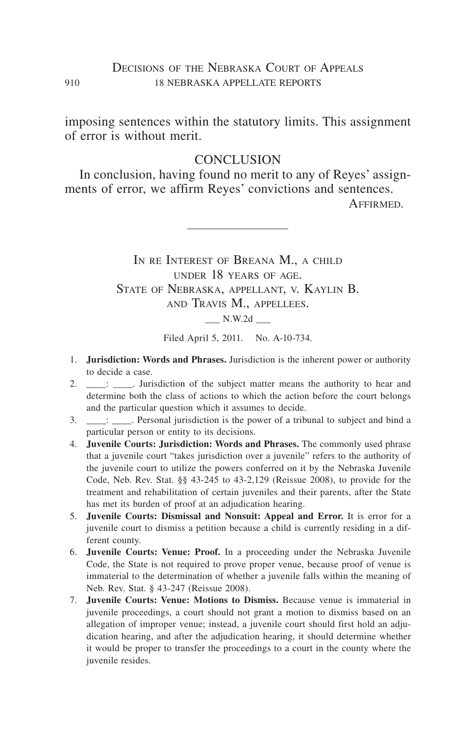imposing sentences within the statutory limits. This assignment of error is without merit.

### **CONCLUSION**

In conclusion, having found no merit to any of Reyes' assignments of error, we affirm Reyes' convictions and sentences. Affirmed.

> IN RE INTEREST OF BREANA M., A CHILD under 18 years of age. State of Nebraska, appellant, v. Kaylin B. and Travis M., appellees.  $N.W.2d$

> > Filed April 5, 2011. No. A-10-734.

- 1. **Jurisdiction: Words and Phrases.** Jurisdiction is the inherent power or authority to decide a case.
- 2. \_\_\_\_: \_\_\_\_\_. Jurisdiction of the subject matter means the authority to hear and determine both the class of actions to which the action before the court belongs and the particular question which it assumes to decide.
- $3. \quad \underline{\hspace{2cm}}$ : Personal jurisdiction is the power of a tribunal to subject and bind a particular person or entity to its decisions.
- 4. **Juvenile Courts: Jurisdiction: Words and Phrases.** The commonly used phrase that a juvenile court "takes jurisdiction over a juvenile" refers to the authority of the juvenile court to utilize the powers conferred on it by the Nebraska Juvenile Code, Neb. Rev. Stat. §§ 43-245 to 43-2,129 (Reissue 2008), to provide for the treatment and rehabilitation of certain juveniles and their parents, after the State has met its burden of proof at an adjudication hearing.
- 5. **Juvenile Courts: Dismissal and Nonsuit: Appeal and Error.** It is error for a juvenile court to dismiss a petition because a child is currently residing in a different county.
- 6. **Juvenile Courts: Venue: Proof.** In a proceeding under the Nebraska Juvenile Code, the State is not required to prove proper venue, because proof of venue is immaterial to the determination of whether a juvenile falls within the meaning of Neb. Rev. Stat. § 43-247 (Reissue 2008).
- 7. **Juvenile Courts: Venue: Motions to Dismiss.** Because venue is immaterial in juvenile proceedings, a court should not grant a motion to dismiss based on an allegation of improper venue; instead, a juvenile court should first hold an adjudication hearing, and after the adjudication hearing, it should determine whether it would be proper to transfer the proceedings to a court in the county where the juvenile resides.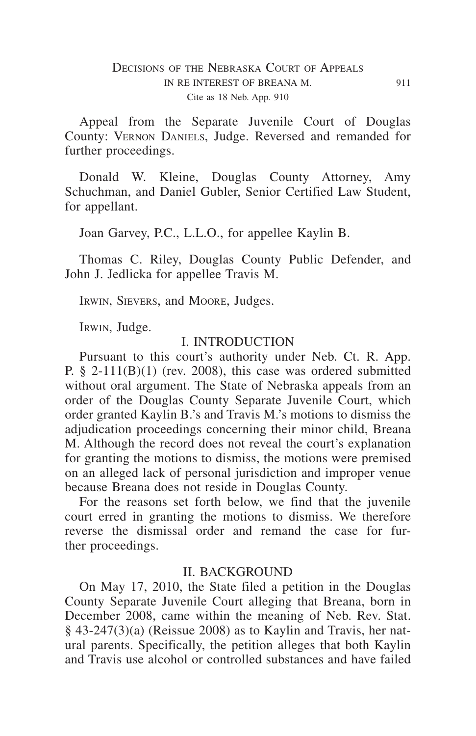Appeal from the Separate Juvenile Court of Douglas County: Vernon Daniels, Judge. Reversed and remanded for further proceedings.

Donald W. Kleine, Douglas County Attorney, Amy Schuchman, and Daniel Gubler, Senior Certified Law Student, for appellant.

Joan Garvey, P.C., L.L.O., for appellee Kaylin B.

Thomas C. Riley, Douglas County Public Defender, and John J. Jedlicka for appellee Travis M.

Irwin, Sievers, and Moore, Judges.

Irwin, Judge.

### I. INTRODUCTION

Pursuant to this court's authority under Neb. Ct. R. App. P. § 2-111(B)(1) (rev. 2008), this case was ordered submitted without oral argument. The State of Nebraska appeals from an order of the Douglas County Separate Juvenile Court, which order granted Kaylin B.'s and Travis M.'s motions to dismiss the adjudication proceedings concerning their minor child, Breana M. Although the record does not reveal the court's explanation for granting the motions to dismiss, the motions were premised on an alleged lack of personal jurisdiction and improper venue because Breana does not reside in Douglas County.

For the reasons set forth below, we find that the juvenile court erred in granting the motions to dismiss. We therefore reverse the dismissal order and remand the case for further proceedings.

#### II. BACKGROUND

On May 17, 2010, the State filed a petition in the Douglas County Separate Juvenile Court alleging that Breana, born in December 2008, came within the meaning of Neb. Rev. Stat. § 43-247(3)(a) (Reissue 2008) as to Kaylin and Travis, her natural parents. Specifically, the petition alleges that both Kaylin and Travis use alcohol or controlled substances and have failed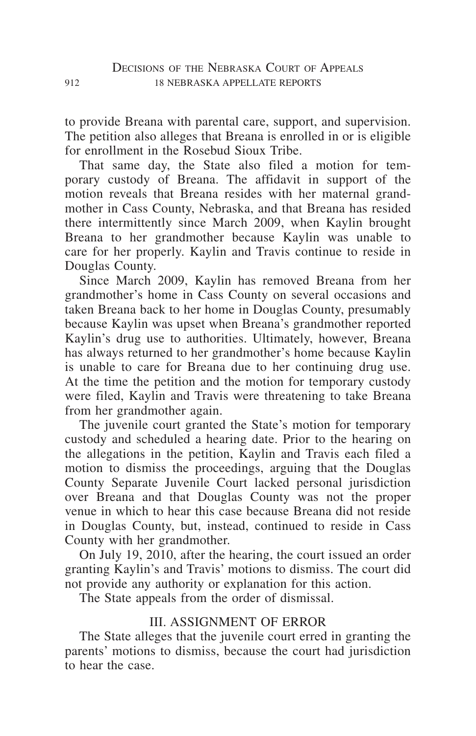to provide Breana with parental care, support, and supervision. The petition also alleges that Breana is enrolled in or is eligible for enrollment in the Rosebud Sioux Tribe.

That same day, the State also filed a motion for temporary custody of Breana. The affidavit in support of the motion reveals that Breana resides with her maternal grandmother in Cass County, Nebraska, and that Breana has resided there intermittently since March 2009, when Kaylin brought Breana to her grandmother because Kaylin was unable to care for her properly. Kaylin and Travis continue to reside in Douglas County.

Since March 2009, Kaylin has removed Breana from her grandmother's home in Cass County on several occasions and taken Breana back to her home in Douglas County, presumably because Kaylin was upset when Breana's grandmother reported Kaylin's drug use to authorities. Ultimately, however, Breana has always returned to her grandmother's home because Kaylin is unable to care for Breana due to her continuing drug use. At the time the petition and the motion for temporary custody were filed, Kaylin and Travis were threatening to take Breana from her grandmother again.

The juvenile court granted the State's motion for temporary custody and scheduled a hearing date. Prior to the hearing on the allegations in the petition, Kaylin and Travis each filed a motion to dismiss the proceedings, arguing that the Douglas County Separate Juvenile Court lacked personal jurisdiction over Breana and that Douglas County was not the proper venue in which to hear this case because Breana did not reside in Douglas County, but, instead, continued to reside in Cass County with her grandmother.

On July 19, 2010, after the hearing, the court issued an order granting Kaylin's and Travis' motions to dismiss. The court did not provide any authority or explanation for this action.

The State appeals from the order of dismissal.

# III. ASSIGNMENT OF ERROR

The State alleges that the juvenile court erred in granting the parents' motions to dismiss, because the court had jurisdiction to hear the case.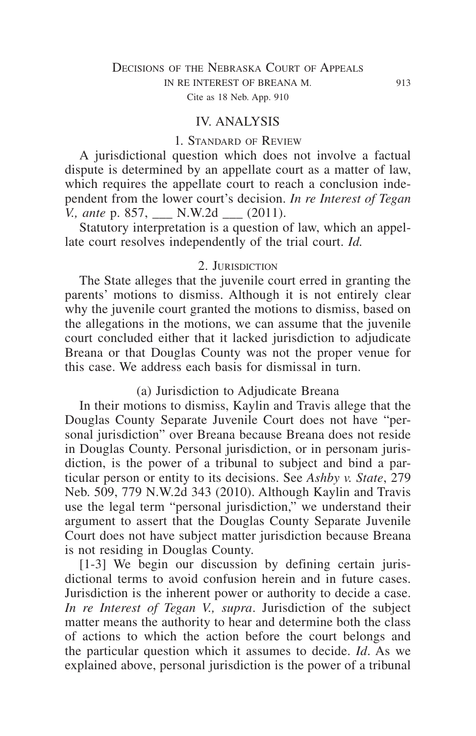### IV. ANALYSIS

## 1. Standard of Review

A jurisdictional question which does not involve a factual dispute is determined by an appellate court as a matter of law, which requires the appellate court to reach a conclusion independent from the lower court's decision. *In re Interest of Tegan V., ante* p. 857, N.W.2d (2011).

Statutory interpretation is a question of law, which an appellate court resolves independently of the trial court. *Id.*

## 2. JURISDICTION

The State alleges that the juvenile court erred in granting the parents' motions to dismiss. Although it is not entirely clear why the juvenile court granted the motions to dismiss, based on the allegations in the motions, we can assume that the juvenile court concluded either that it lacked jurisdiction to adjudicate Breana or that Douglas County was not the proper venue for this case. We address each basis for dismissal in turn.

(a) Jurisdiction to Adjudicate Breana

In their motions to dismiss, Kaylin and Travis allege that the Douglas County Separate Juvenile Court does not have "personal jurisdiction" over Breana because Breana does not reside in Douglas County. Personal jurisdiction, or in personam jurisdiction, is the power of a tribunal to subject and bind a particular person or entity to its decisions. See *Ashby v. State*, 279 Neb. 509, 779 N.W.2d 343 (2010). Although Kaylin and Travis use the legal term "personal jurisdiction," we understand their argument to assert that the Douglas County Separate Juvenile Court does not have subject matter jurisdiction because Breana is not residing in Douglas County.

[1-3] We begin our discussion by defining certain jurisdictional terms to avoid confusion herein and in future cases. Jurisdiction is the inherent power or authority to decide a case. *In re Interest of Tegan V., supra*. Jurisdiction of the subject matter means the authority to hear and determine both the class of actions to which the action before the court belongs and the particular question which it assumes to decide. *Id*. As we explained above, personal jurisdiction is the power of a tribunal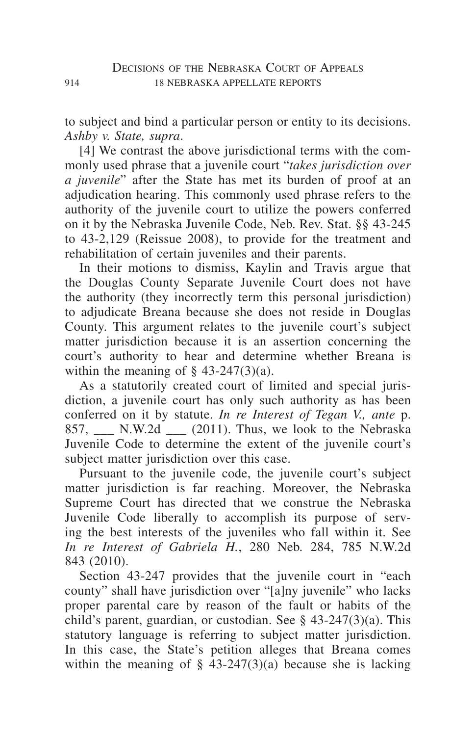to subject and bind a particular person or entity to its decisions. *Ashby v. State, supra*.

[4] We contrast the above jurisdictional terms with the commonly used phrase that a juvenile court "*takes jurisdiction over a juvenile*" after the State has met its burden of proof at an adjudication hearing. This commonly used phrase refers to the authority of the juvenile court to utilize the powers conferred on it by the Nebraska Juvenile Code, Neb. Rev. Stat. §§ 43-245 to 43-2,129 (Reissue 2008), to provide for the treatment and rehabilitation of certain juveniles and their parents.

In their motions to dismiss, Kaylin and Travis argue that the Douglas County Separate Juvenile Court does not have the authority (they incorrectly term this personal jurisdiction) to adjudicate Breana because she does not reside in Douglas County. This argument relates to the juvenile court's subject matter jurisdiction because it is an assertion concerning the court's authority to hear and determine whether Breana is within the meaning of  $\S$  43-247(3)(a).

As a statutorily created court of limited and special jurisdiction, a juvenile court has only such authority as has been conferred on it by statute. *In re Interest of Tegan V., ante* p. 857, N.W.2d (2011). Thus, we look to the Nebraska Juvenile Code to determine the extent of the juvenile court's subject matter jurisdiction over this case.

Pursuant to the juvenile code, the juvenile court's subject matter jurisdiction is far reaching. Moreover, the Nebraska Supreme Court has directed that we construe the Nebraska Juvenile Code liberally to accomplish its purpose of serving the best interests of the juveniles who fall within it. See *In re Interest of Gabriela H.*, 280 Neb. 284, 785 N.W.2d 843 (2010).

Section 43-247 provides that the juvenile court in "each county" shall have jurisdiction over "[a]ny juvenile" who lacks proper parental care by reason of the fault or habits of the child's parent, guardian, or custodian. See § 43-247(3)(a). This statutory language is referring to subject matter jurisdiction. In this case, the State's petition alleges that Breana comes within the meaning of  $\S$  43-247(3)(a) because she is lacking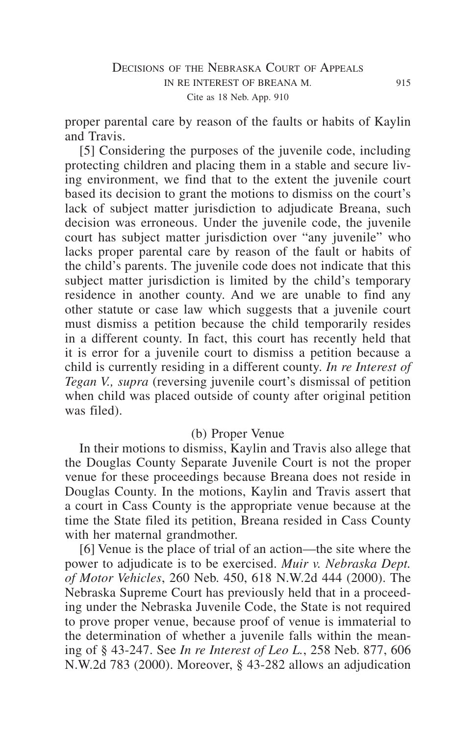proper parental care by reason of the faults or habits of Kaylin and Travis.

[5] Considering the purposes of the juvenile code, including protecting children and placing them in a stable and secure living environment, we find that to the extent the juvenile court based its decision to grant the motions to dismiss on the court's lack of subject matter jurisdiction to adjudicate Breana, such decision was erroneous. Under the juvenile code, the juvenile court has subject matter jurisdiction over "any juvenile" who lacks proper parental care by reason of the fault or habits of the child's parents. The juvenile code does not indicate that this subject matter jurisdiction is limited by the child's temporary residence in another county. And we are unable to find any other statute or case law which suggests that a juvenile court must dismiss a petition because the child temporarily resides in a different county. In fact, this court has recently held that it is error for a juvenile court to dismiss a petition because a child is currently residing in a different county. *In re Interest of Tegan V., supra* (reversing juvenile court's dismissal of petition when child was placed outside of county after original petition was filed).

#### (b) Proper Venue

In their motions to dismiss, Kaylin and Travis also allege that the Douglas County Separate Juvenile Court is not the proper venue for these proceedings because Breana does not reside in Douglas County. In the motions, Kaylin and Travis assert that a court in Cass County is the appropriate venue because at the time the State filed its petition, Breana resided in Cass County with her maternal grandmother.

[6] Venue is the place of trial of an action—the site where the power to adjudicate is to be exercised. *Muir v. Nebraska Dept. of Motor Vehicles*, 260 Neb. 450, 618 N.W.2d 444 (2000). The Nebraska Supreme Court has previously held that in a proceeding under the Nebraska Juvenile Code, the State is not required to prove proper venue, because proof of venue is immaterial to the determination of whether a juvenile falls within the meaning of § 43-247. See *In re Interest of Leo L.*, 258 Neb. 877, 606 N.W.2d 783 (2000). Moreover, § 43-282 allows an adjudication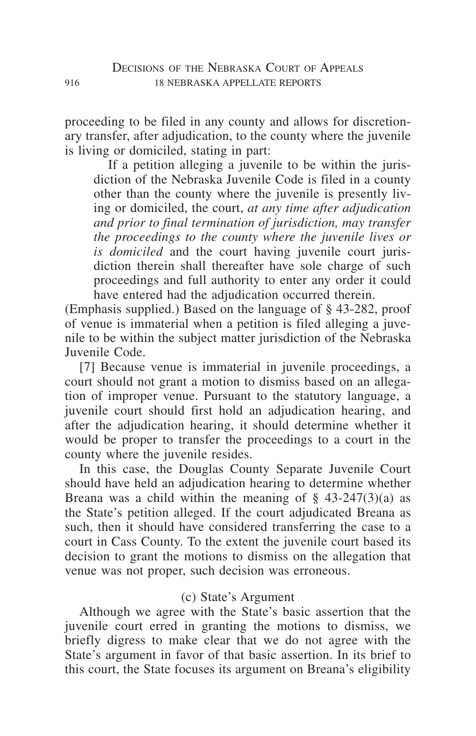proceeding to be filed in any county and allows for discretionary transfer, after adjudication, to the county where the juvenile is living or domiciled, stating in part:

If a petition alleging a juvenile to be within the jurisdiction of the Nebraska Juvenile Code is filed in a county other than the county where the juvenile is presently living or domiciled, the court, *at any time after adjudication and prior to final termination of jurisdiction, may transfer the proceedings to the county where the juvenile lives or is domiciled* and the court having juvenile court jurisdiction therein shall thereafter have sole charge of such proceedings and full authority to enter any order it could have entered had the adjudication occurred therein.

(Emphasis supplied.) Based on the language of § 43-282, proof of venue is immaterial when a petition is filed alleging a juvenile to be within the subject matter jurisdiction of the Nebraska Juvenile Code.

[7] Because venue is immaterial in juvenile proceedings, a court should not grant a motion to dismiss based on an allegation of improper venue. Pursuant to the statutory language, a juvenile court should first hold an adjudication hearing, and after the adjudication hearing, it should determine whether it would be proper to transfer the proceedings to a court in the county where the juvenile resides.

In this case, the Douglas County Separate Juvenile Court should have held an adjudication hearing to determine whether Breana was a child within the meaning of  $\S$  43-247(3)(a) as the State's petition alleged. If the court adjudicated Breana as such, then it should have considered transferring the case to a court in Cass County. To the extent the juvenile court based its decision to grant the motions to dismiss on the allegation that venue was not proper, such decision was erroneous.

## (c) State's Argument

Although we agree with the State's basic assertion that the juvenile court erred in granting the motions to dismiss, we briefly digress to make clear that we do not agree with the State's argument in favor of that basic assertion. In its brief to this court, the State focuses its argument on Breana's eligibility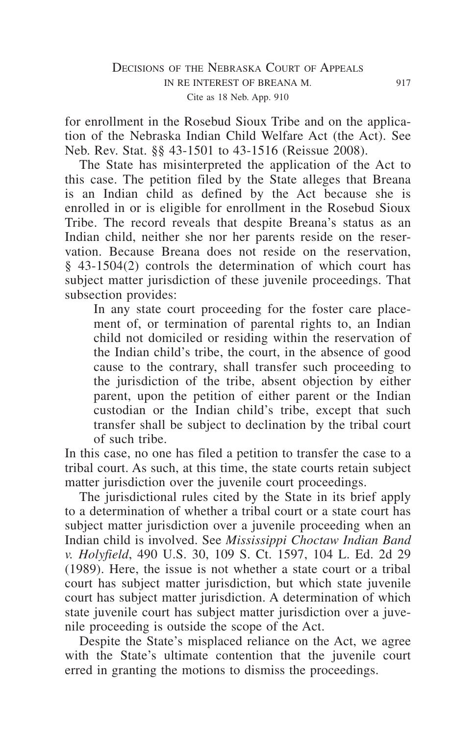for enrollment in the Rosebud Sioux Tribe and on the application of the Nebraska Indian Child Welfare Act (the Act). See Neb. Rev. Stat. §§ 43-1501 to 43-1516 (Reissue 2008).

The State has misinterpreted the application of the Act to this case. The petition filed by the State alleges that Breana is an Indian child as defined by the Act because she is enrolled in or is eligible for enrollment in the Rosebud Sioux Tribe. The record reveals that despite Breana's status as an Indian child, neither she nor her parents reside on the reservation. Because Breana does not reside on the reservation, § 43-1504(2) controls the determination of which court has subject matter jurisdiction of these juvenile proceedings. That subsection provides:

In any state court proceeding for the foster care placement of, or termination of parental rights to, an Indian child not domiciled or residing within the reservation of the Indian child's tribe, the court, in the absence of good cause to the contrary, shall transfer such proceeding to the jurisdiction of the tribe, absent objection by either parent, upon the petition of either parent or the Indian custodian or the Indian child's tribe, except that such transfer shall be subject to declination by the tribal court of such tribe.

In this case, no one has filed a petition to transfer the case to a tribal court. As such, at this time, the state courts retain subject matter jurisdiction over the juvenile court proceedings.

The jurisdictional rules cited by the State in its brief apply to a determination of whether a tribal court or a state court has subject matter jurisdiction over a juvenile proceeding when an Indian child is involved. See *Mississippi Choctaw Indian Band v. Holyfield*, 490 U.S. 30, 109 S. Ct. 1597, 104 L. Ed. 2d 29 (1989). Here, the issue is not whether a state court or a tribal court has subject matter jurisdiction, but which state juvenile court has subject matter jurisdiction. A determination of which state juvenile court has subject matter jurisdiction over a juvenile proceeding is outside the scope of the Act.

Despite the State's misplaced reliance on the Act, we agree with the State's ultimate contention that the juvenile court erred in granting the motions to dismiss the proceedings.